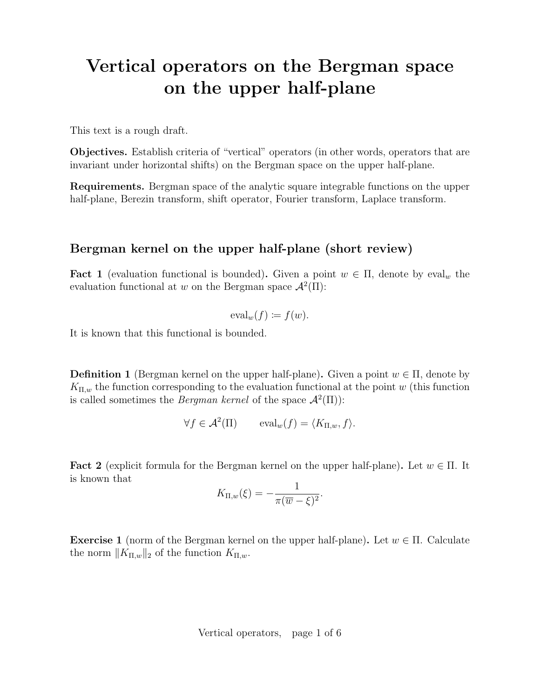# Vertical operators on the Bergman space on the upper half-plane

This text is a rough draft.

Objectives. Establish criteria of "vertical" operators (in other words, operators that are invariant under horizontal shifts) on the Bergman space on the upper half-plane.

Requirements. Bergman space of the analytic square integrable functions on the upper half-plane, Berezin transform, shift operator, Fourier transform, Laplace transform.

### Bergman kernel on the upper half-plane (short review)

**Fact 1** (evaluation functional is bounded). Given a point  $w \in \Pi$ , denote by eval<sub>w</sub> the evaluation functional at w on the Bergman space  $\mathcal{A}^2(\Pi)$ :

$$
\mathrm{eval}_w(f) \coloneqq f(w).
$$

It is known that this functional is bounded.

**Definition 1** (Bergman kernel on the upper half-plane). Given a point  $w \in \Pi$ , denote by  $K_{\Pi,w}$  the function corresponding to the evaluation functional at the point w (this function is called sometimes the *Bergman kernel* of the space  $\mathcal{A}^2(\Pi)$ :

$$
\forall f \in \mathcal{A}^2(\Pi) \qquad \text{eval}_w(f) = \langle K_{\Pi,w}, f \rangle.
$$

**Fact 2** (explicit formula for the Bergman kernel on the upper half-plane). Let  $w \in \Pi$ . It is known that

$$
K_{\Pi,w}(\xi) = -\frac{1}{\pi(\overline{w}-\xi)^2}.
$$

Exercise 1 (norm of the Bergman kernel on the upper half-plane). Let  $w \in \Pi$ . Calculate the norm  $||K_{\Pi,w}||_2$  of the function  $K_{\Pi,w}$ .

Vertical operators, page 1 of 6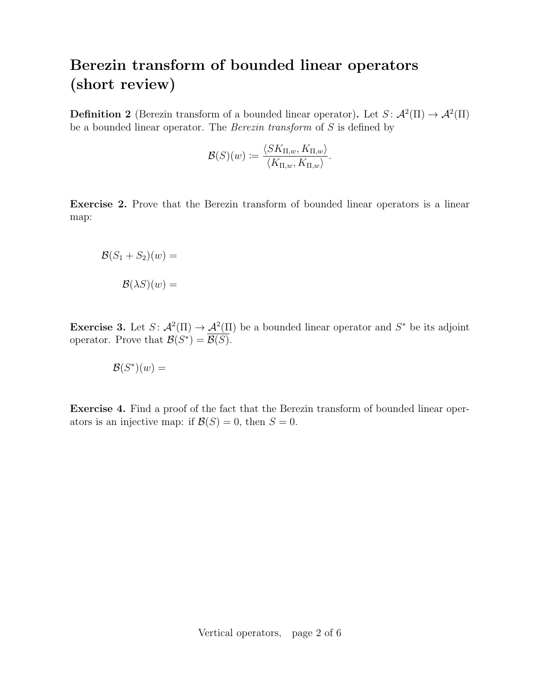# Berezin transform of bounded linear operators (short review)

**Definition 2** (Berezin transform of a bounded linear operator). Let  $S: \mathcal{A}^2(\Pi) \to \mathcal{A}^2(\Pi)$ be a bounded linear operator. The Berezin transform of S is defined by

$$
\mathcal{B}(S)(w) \coloneqq \frac{\langle SK_{\Pi, w}, K_{\Pi, w}\rangle}{\langle K_{\Pi, w}, K_{\Pi, w}\rangle}.
$$

Exercise 2. Prove that the Berezin transform of bounded linear operators is a linear map:

$$
\mathcal{B}(S_1 + S_2)(w) =
$$

$$
\mathcal{B}(\lambda S)(w) =
$$

**Exercise 3.** Let  $S: \mathcal{A}^2(\Pi) \to \mathcal{A}^2(\Pi)$  be a bounded linear operator and  $S^*$  be its adjoint operator. Prove that  $\mathcal{B}(S^*) = \overline{\mathcal{B}(S)}$ .

$$
\mathcal{B}(S^*)(w) =
$$

Exercise 4. Find a proof of the fact that the Berezin transform of bounded linear operators is an injective map: if  $\mathcal{B}(S) = 0$ , then  $S = 0$ .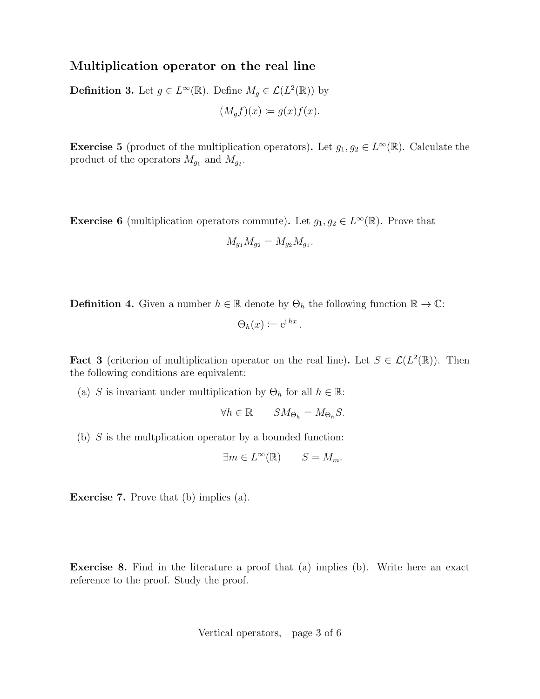#### Multiplication operator on the real line

**Definition 3.** Let  $g \in L^{\infty}(\mathbb{R})$ . Define  $M_g \in \mathcal{L}(L^2(\mathbb{R}))$  by  $(M_a f)(x) := g(x) f(x).$ 

**Exercise 5** (product of the multiplication operators). Let  $g_1, g_2 \in L^{\infty}(\mathbb{R})$ . Calculate the product of the operators  $M_{g_1}$  and  $M_{g_2}$ .

**Exercise 6** (multiplication operators commute). Let  $g_1, g_2 \in L^{\infty}(\mathbb{R})$ . Prove that

$$
M_{g_1} M_{g_2} = M_{g_2} M_{g_1}.
$$

**Definition 4.** Given a number  $h \in \mathbb{R}$  denote by  $\Theta_h$  the following function  $\mathbb{R} \to \mathbb{C}$ :

$$
\Theta_h(x) \coloneqq e^{i\,hx}
$$

.

**Fact 3** (criterion of multiplication operator on the real line). Let  $S \in \mathcal{L}(L^2(\mathbb{R}))$ . Then the following conditions are equivalent:

(a) S is invariant under multiplication by  $\Theta_h$  for all  $h \in \mathbb{R}$ :

$$
\forall h \in \mathbb{R} \qquad SM_{\Theta_h} = M_{\Theta_h} S.
$$

(b)  $S$  is the multplication operator by a bounded function:

$$
\exists m \in L^{\infty}(\mathbb{R}) \qquad S = M_m.
$$

Exercise 7. Prove that (b) implies (a).

Exercise 8. Find in the literature a proof that (a) implies (b). Write here an exact reference to the proof. Study the proof.

Vertical operators, page 3 of 6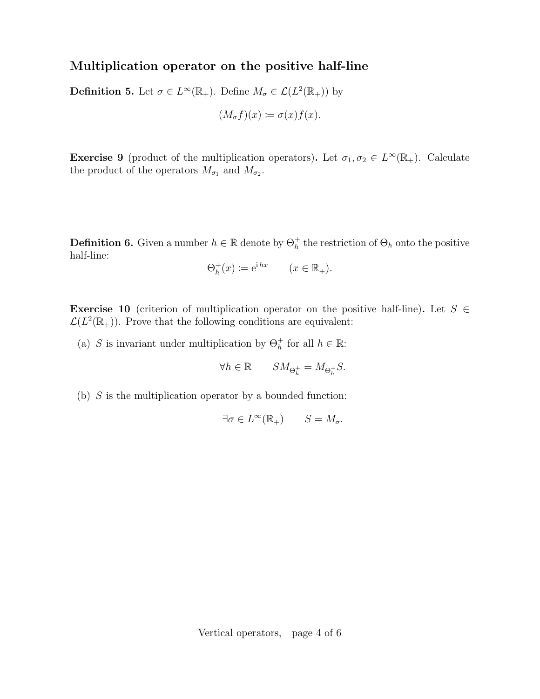## Multiplication operator on the positive half-line

**Definition 5.** Let  $\sigma \in L^{\infty}(\mathbb{R}_+)$ . Define  $M_{\sigma} \in \mathcal{L}(L^2(\mathbb{R}_+))$  by

$$
(M_{\sigma}f)(x) := \sigma(x)f(x).
$$

**Exercise 9** (product of the multiplication operators). Let  $\sigma_1, \sigma_2 \in L^{\infty}(\mathbb{R}_+)$ . Calculate the product of the operators  $M_{\sigma_1}$  and  $M_{\sigma_2}$ .

**Definition 6.** Given a number  $h \in \mathbb{R}$  denote by  $\Theta_h^+$  the restriction of  $\Theta_h$  onto the positive half-line:

$$
\Theta_h^+(x) \coloneqq e^{i h x} \qquad (x \in \mathbb{R}_+).
$$

Exercise 10 (criterion of multiplication operator on the positive half-line). Let  $S \in$  $\mathcal{L}(L^2(\mathbb{R}_+))$ . Prove that the following conditions are equivalent:

(a) S is invariant under multiplication by  $\Theta_h^+$  for all  $h \in \mathbb{R}$ :

$$
\forall h\in\mathbb{R}\qquad SM_{\Theta_{h}^{+}}=M_{\Theta_{h}^{+}}S.
$$

(b)  $S$  is the multiplication operator by a bounded function:

$$
\exists \sigma \in L^{\infty}(\mathbb{R}_{+}) \qquad S = M_{\sigma}.
$$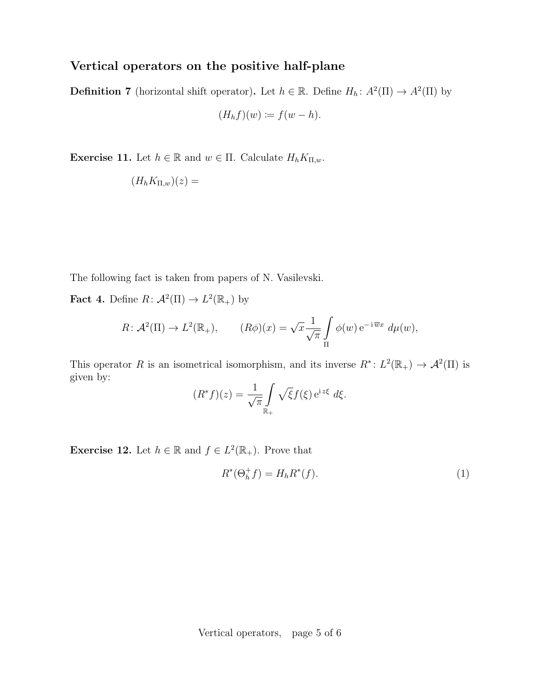#### Vertical operators on the positive half-plane

**Definition 7** (horizontal shift operator). Let  $h \in \mathbb{R}$ . Define  $H_h: A^2(\Pi) \to A^2(\Pi)$  by

$$
(H_h f)(w) := f(w - h).
$$

**Exercise 11.** Let  $h \in \mathbb{R}$  and  $w \in \Pi$ . Calculate  $H_h K_{\Pi,w}$ .

$$
(H_h K_{\Pi,w})(z) =
$$

The following fact is taken from papers of N. Vasilevski.

**Fact 4.** Define  $R: \mathcal{A}^2(\Pi) \to L^2(\mathbb{R}_+)$  by

$$
R: \mathcal{A}^2(\Pi) \to L^2(\mathbb{R}_+), \qquad (R\phi)(x) = \sqrt{x} \frac{1}{\sqrt{\pi}} \int_{\Pi} \phi(w) e^{-i \overline{w}x} d\mu(w),
$$

This operator R is an isometrical isomorphism, and its inverse  $R^*: L^2(\mathbb{R}_+) \to \mathcal{A}^2(\Pi)$  is given by:

$$
(R^*f)(z) = \frac{1}{\sqrt{\pi}} \int_{\mathbb{R}_+} \sqrt{\xi} f(\xi) e^{i z \xi} d\xi.
$$

**Exercise 12.** Let  $h \in \mathbb{R}$  and  $f \in L^2(\mathbb{R}_+)$ . Prove that

$$
R^*(\Theta_h^+ f) = H_h R^*(f). \tag{1}
$$